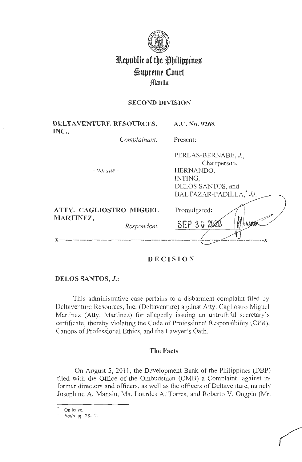

# **l\epuhlit of tbe ~bilippines**   $\mathfrak{S}$ upreme Court **;§lllanila**

### **SECOND DIVISION**

| DELTAVENTURE RESOURCES,<br>INC.,            |              | A.C. No. 9268                                                                                             |
|---------------------------------------------|--------------|-----------------------------------------------------------------------------------------------------------|
|                                             | Complainant, | Present:                                                                                                  |
| - versus -                                  |              | PERLAS-BERNABE, J.,<br>Chairperson,<br>HERNANDO,<br>INTING,<br>DELOS SANTOS, and<br>BALTAZAR-PADILLA, JJ. |
| ATTY. CAGLIOSTRO MIGUEL<br><b>MARTINEZ,</b> | Respondent.  | Promulgated:<br>Magyoran<br>SEP 30 2020                                                                   |
|                                             |              |                                                                                                           |

# **DECISION**

### **DELOS SANTOS, J.:**

This administrative case pertains to a disbarment complaint filed by Deltaventure Resources, Inc. (Deltaventure) against Atty. Cagliostro Miguel Martinez (Atty. Martinez) for allegedly issuing an untruthful secretary's certificate, thereby violating the Code of Professional Responsibility (CPR), Canons of Professional Ethics, and the Lawyer's Oath.

### **The Facts**

On August 5, 201 1, the Development Bank of the Philippines (DBP) filed with the Office of the Ombudsman (OMB) a Complaint<sup>1</sup> against its former directors and officers, as well as the officers of Deltaventure, namely Josephine A. Manalo, Ma. Lourdes A. Torres, and Roberto V. Ongpin (Mr.

On leave.<br>*Rollo*, pp. 28-121.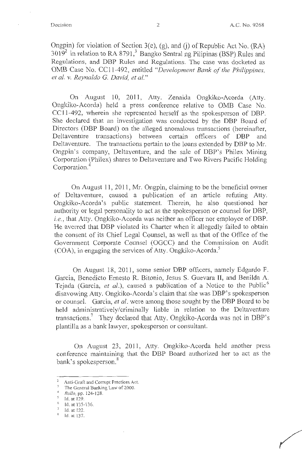Ongpin) for violation of Section  $3(e)$ , (g), and (j) of Republic Act No. (RA)  $3019<sup>2</sup>$  in relation to RA 8791,<sup>3</sup> Bangko Sentral ng Pilipinas (BSP) Rules and Regulations, and DBP Rules and Regulations. The case was docketed as 0MB Case No. CC 11-492, entitled *"Development Bank of the Philippines, et al. v. Reynaldo* G. *David, et al."* 

On · August 10, 2011, Atty. Zenaida Ongkiko-Acorda (Atty. Ongkiko-Acorda) held a press conference relative to 0MB Case No. CC11-492, wherein she represented herself as the spokesperson of DBP. She declared that an investigation was conducted by the DBP Board of Directors (DBP Board) on the alleged anomalous transactions (hereinafter, Deltaventure transactions) between certain officers of DBP and Deltaventure. The transactions pertain to the loans extended by DBP to Mr. Ongpin's company, Deltaventure, and the sale of DBP's Philex Mining Corporation (Philex) shares to Deltaventure and Two Rivers Pacific Holding Corporation.<sup>4</sup>

On August 11, 2011, Mr. Ongpin, claiming to be the beneficial owner of Deltaventure, caused a publication of an article refuting Atty. Ongkiko-Acorda's public statement. Therein, he also questioned her authority or legal personality to act as the spokesperson or counsel for DBP, i.e., that Atty. Ongkiko-Acorda was neither an officer nor employee of DBP. He averred that DBP violated its Charter when it allegedly failed to obtain the consent of its Chief Legal Counsel, as well as that of the Office of the Government Corporate Counsel (OGCC) and the Commission on Audit (COA), in engaging the services of Atty. Ongkiko-Acorda.<sup>5</sup>

On August 18, 2011, some senior DBP officers, namely Edgardo F. Garcia, Benedicto Ernesto R. Bitonio, Jesus S. Guevara II, and Benilda A. Tejada (Garcia, et al.), caused a publication of a Notice to the Public<sup>6</sup> disavowing Atty. Ongkiko-Acorda's claim that she was DBP's spokesperson or counsel. Garcia, *et al.* were among those sought by the DBP Board to be held administratively/criminally liable in relation to the Deltaventure transactions.<sup>7</sup> They declared that Atty. Ongkiko-Acorda was not in DBP's plantilla as a bank lawyer, spokesperson or consultant.

On August 23, 2011, Atty. Ongkiko-Acorda held another press conference maintaining that the DBP Board authorized her to act as the bank's spokesperson.<sup>8</sup>

<sup>2</sup> Anti-Graft and Corrupt Practices Act. 3 The Generai Banking Law of 2000. 4 *Rollo, pp.* 124-128.

*fd.* at 129.<br>*fd.* at 135-136.<br>*Id.* at 122.

Id. at 137.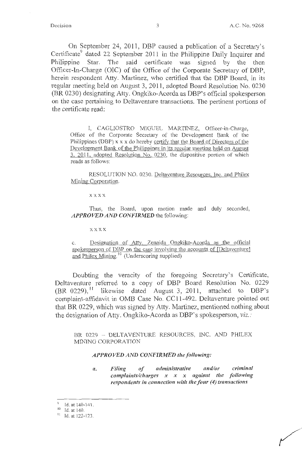On September 24, 2011, DBP caused a publication of a Secretary's Certificate<sup>9</sup> dated 22 September 2011 in the Philippine Daily Inquirer and Philippine Star. The said certificate was signed by the then Officer-In-Charge (OIC) of the Office of the Corporate Secretary of DBP, herein respondent Atty. Martinez, who certified that the **DBP** Board, in its regular meeting held on August 3, 2011, adopted Board Resolution No. 0230 (BR 0230) designating Atty. Ongkiko-Acorda as DBP's official spokesperson on the case pertaining to Deltaventure transactions. The pertinent portions of the certificate read:

I, CAGLIOSTRO MIGUEL MARTINEZ, Officer-in-Charge, Office of the Corporate Secretary of the Development Bank of the Philippines (DBP)  $x \times x$  do hereby certify that the Board of Directors of the Development Bank of the Philippines in its regular meeting held on August 3, 2011, adopted Resolution No. 0230, the dispositive portion of which reads as follows:

RESOLUTION NO. 0230. Deltaventure Resources, Inc. and Philex Mining Corporation.

xxxx

Thus, the Board, upon motion made and duly seconded, *APPROVED AND CONFIRMED* the following:

xxxx

c. Designation of Atty. Zenaida Ongkiko-Acorda as the official spokesperson of DBP on the case involving the accounts of [Deltaventure] and Philex Mining.<sup>10</sup> (Underscoring supplied)

Doubting the veracity of the foregoing Secretary's Certificate, Deltaventure referred to a copy of DBP Board Resolution No. 0229  $(BR 0229)$ ,<sup>11</sup> likewise dated August 3, 2011, attached to DBP's complaint-affidavit in OMB Case No. CC11-492. Deltaventure pointed out that BR 0229, which was signed by Atty. Martinez, mentioned nothing about the designation of Atty. Ongkiko-Acorda as DBP's spokesperson, viz.:

BR 0229 - DELTAVENTURE RESOURCES, INC. AND PHILEX MINING CORPORATION

### *APPROVED AND CONFIRMED the following:*

*a. Filing of administrative and/or criminal complaints/charges x x x against the following respondents in connection with the four (4) transactions* 

<sup>9</sup> Id. at  $140-141$ .<br><sup>10</sup> Id. at 140.<br><sup>11</sup> Id. at 122-123.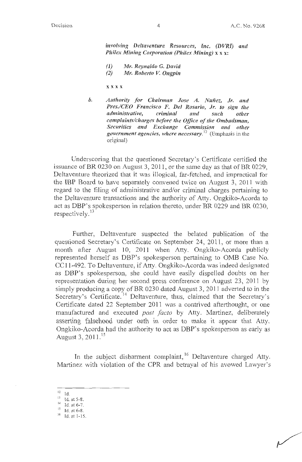involving Deltaventure Resources, Inc. (DVRI) and *Philex Mining Corporation (Philex Mining)* **x x x**:

- **(1)** *Mr. Reynaldo G. David*
- *(2) Mr. Roberto V. Ongpin*

**xxxx** 

*b. Authority for Cllairman Jose A. Nuiiez, Jr. and Pres.ICED Francisco F. Del Rosario, Jr. to sign tile administrative, criminal and such other complaints/charges before the Office of the Ombudsman,*  Securities and Exchange Commission and other *government agencies, where necessary.* **<sup>12</sup>**(Emphasis in the original)

Underscoring that the questioned Secretary's Certificate certified the issuance of BR 0230 on August 3, 2011, or the same day as that of BR 0229, Deltaventure theorized that it was illogical, far-fetched, and impractical for the IBP Board to have separately convened twice on August 3, 2011 with regard to the filing of administrative and/or criminal charges pertaining to the Deltaventure transactions and the authority of Atty. Ongkiko-Acorda to act as DBP's spokesperson in relation thereto, under BR 0229 and BR 0230, respectively.<sup>13</sup>

Further, Deltaventure suspected the belated publication of the questioned Secretary's Certificate on September 24, 2011, or more than a month after August 10, 2011 when Atty. Ongkiko-Acorda publicly represented herself as DBP's spokesperson pertaining to 0MB Case No. CCl 1-492. To Deltaventure, if Atty. Ongkiko-Acorda was indeed designated as DBP's spokesperson, she could have easily dispelled doubts on her representation during her second press conference on August 23, 2011 by simply producing a copy of **BR** 0230 dated August 3, 2011 adverted to in the Secretary's Certificate.<sup>14</sup> Deltaventure, thus, claimed that the Secretary's Certificate dated 22 September 2011 was a contrived afterthought, or one manufactured and executed *post facto* by Atty. Martinez, deliberately asserting falsehood under oath in order to make it appear that Atty. Ongkiko-Acorda had the authority to act as DBP's spokesperson as early as August 3, 2011.<sup>15</sup>

In the subject disbarment complaint,<sup>16</sup> Deltaventure charged Atty. Martinez with violation of the **CPR** and betrayal of his avowed Lawyer's

<sup>&</sup>lt;sup>12</sup> Id.<br><sup>13</sup> Id. at 5-8.<br><sup>14</sup> Id. at 6-7.

 $15$  Id. at 6-8.<br> $16$  Id. at 1-15.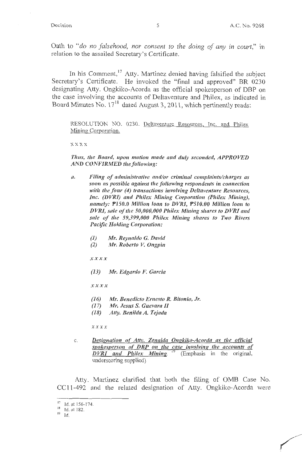Oath to "do no falsehood, nor consent to the doing of any in court," in relation to the assailed Secretary's Certificate.

In his Comment,<sup>17</sup> Atty. Martinez denied having falsified the subject Secretary's Certificate. He invoked the "final and approved" BR 0230 designating Atty. Ongkiko-Acorda as the official spokesperson of DBP on the case involving the accounts of Deltaventure and Philex, as indicated in Board Minutes No.  $17^{18}$  dated August 3, 2011, which pertinently reads:

RESOLUTION NO. 0230. Deltaventure Resources, Inc. and Philex Mining Corporation.

**xxxx** 

*Tlws, the Board, upon motion made and duly seconded, APPROVED AND CONFIRMED the following:* 

- *a. Filing of administrative and/or criminal complaints/cltarges as soon as possible against the following respondents in connection with the four (4) transactions involving Deltaventure Resources, Inc. (DVRI)* and *Philex Mining Corporation (Philex Mining)*, *namely: PJ50.0 Million loan to DVRI, P510.00 Million loan to DVRI, sale of the 50,000,000 Phi/ex Mining shares to DVRJ and sale of the 59,399,000 Phi/ex Mining shares to Two Rivers Pacific Holding Corporation:* 
	- *(1) Mr. Reynaldo G. David*
	- *(2) Mr. Roberto* V. *Ongpin*

*xxxx* 

*(13) Mr. Edgardo F. Garcia* 

*xxxx* 

*(16) Mr. Benedicto Ernesto R. Bitonio, Jr.* 

- *(17) Mr. Jesus S. Guevara II*
- *(18) Atty. Benilda A. Tejada*

*xxxx* 

c. *Designation of Attv. Zenaida Ongkiko-Acorda as the official spokesperson of DBP on the case involving the accounts of DVRI and Philex Mining.* <sup>19</sup> (Emphasis in the original, underscoring supplied)

Atty. Martinez clarified that both the filing of 0MB Case No. CC 1 1-492 and the related designation of Atty. Ongkiko-Acorda were

<sup>&</sup>lt;sup>17</sup> Id. at 156-174.

 $18$  Id. at 182.

 $19$  Id.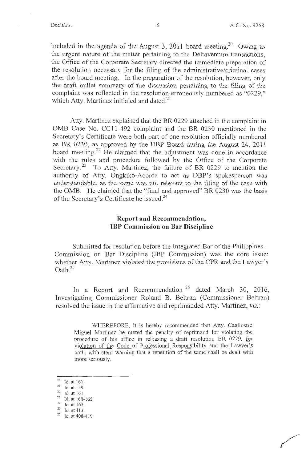included in the agenda of the August 3, 2011 board meeting.<sup>20</sup> Owing to the urgent nature of the matter pertaining to the Deltaventure transactions, the Office of the Corporate Secretary directed the immediate preparation of the resolution necessary for the filing of the administrative/criminal cases after the board meeting. In the preparation of the resolution, however, only the draft bullet summary of the discussion pertaining to the filing of the complaint was reflected in the resolution erroneously numbered as "0229," which Atty. Martinez initialed and dated.<sup>21</sup>

Atty. Martinez explained that the BR 0229 attached in the complaint in 0MB Case No. CC 11-492 complaint and the BR 0230 mentioned in the Secretary's Certificate were both part of one resolution officially numbered as BR 0230, as approved by the DBP Board during the August 24, 2011 board meeting.<sup>22</sup> He claimed that the adjustment was done in accordance with the rules and procedure followed by the Office of the Corporate Secretary.<sup>23</sup> To Atty. Martinez, the failure of BR 0229 to mention the authority of Atty. Ongkiko-Acorda to act as DBP's spokesperson was understandable, as the same was not relevant to the filing of the case with the 0MB. He claimed that the "final and approved" BR 0230 was the basis of the Secretary's Certificate he issued.<sup>24</sup>

### **Report and Recommendation, IBP Commission on Bar Discipline**

Submitted for resolution before the Integrated Bar of the Philippines – Commission on Bar Discipline (IBP Commission) was the core issue: whether Atty. Martinez violated the provisions of the CPR and the Lawyer's  $\mathrm{Oath}^{25}$ 

In a Report and Recommendation<sup>26</sup> dated March 30, 2016, Investigating Commissioner Roland B. Beltran (Commissioner Beltran) resolved the issue in the affirmative and reprimanded Atty. Martinez, *viz.:* 

WHEREFORE, it is hereby recommended that Atty. Cagliostro Miguel Martinez be meted the penalty of reprimand for violating the procedure of his office in releasing a draft resolution BR 0229, for violation of the Code of Professional Responsibility and the Lawyer's oath, with stern warning that a repetition of the same shall be dealt with more seriously.

 $\frac{20}{21}$  Id. at 161.<br>
1d. at 159.

<sup>21</sup>Id. at 159. 22 **Id. at <sup>16</sup> 1.** 

<sup>&</sup>lt;sup>23</sup> Id. at 160-165.<br><sup>24</sup> Id. at 165.<br><sup>25</sup> Id. at 412.

Id. at 413.

<sup>26</sup> Id. at 408-4 19.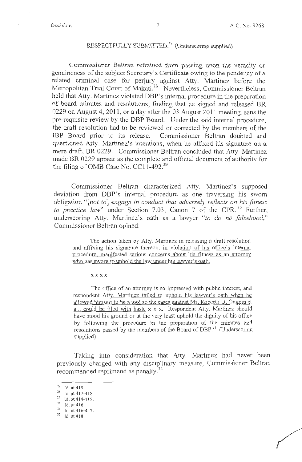# RESPECTFULLY SUBMITTED.<sup>27</sup> (Underscoring supplied)

Commissioner Beltran refrained from passing upon the veracity or genuineness of the subject Secretary's Certificate owing to the pendency of a related criminal case for perjury against Atty. Martinez before the Metropolitan Trial Court of Makati.<sup>28</sup> Nevertheless, Commissioner Beltran held that Atty. Martinez violated DBP's internal procedure in the preparation of board minutes and resolutions, finding that he signed and released BR 0229 on August 4, 2011, or a day after the 03 August 2011 meeting, sans the pre-requisite review by the DBP Board. Under the said internal procedure, the draft resolution had to be reviewed or corrected by the members of the IBP Board prior to its release. Commissioner Beltran doubted and questioned Atty. Martinez's intentions, when he affixed his signature on a mere draft, BR 0229. Commissioner Beltran concluded that Atty. Martinez made BR 0229 appear as the complete and official document of authority for the filing of OMB Case No. CC11-492.<sup>29</sup>

Commissioner Beltran characterized Atty. Martinez's supposed deviation from DBP's internal procedure as one traversing his sworn obligation "[ *not to] engage in conduct that adversely reflects on his fitness*  outigation *(not to) engage in conduct that daversely reflects on his finess* underscoring Atty. Martinez's oath as a lawyer *"to do no falsehood,"*  Commissioner Beltran opined:

The action taken by Atty. Martinez in releasing a draft resolution and affixing his signature thereon, in violation of his office's internal procedure, manifested serious concerns about his fitness as an attorney who has sworn to uphold the law under his lawyer's oath.

**xxxx** 

The office of an attorney is so impressed with public interest, and respondent Atty. Martinez failed to uphold his lawyer's oath when he allowed himself to be a tool so the cases against Mr. Roberto D. Ongpin et al., could be filed with haste x x x. Respondent Atty. Martinez should have stood his ground or at the very least uphold the dignity of his office by following the procedure in the preparation of the minutes and resolutions passed by the members of the Board of DBP.<sup>31</sup> (Underscoring supplied)

Taking into consideration that Atty. Martinez had never been previously charged with any disciplinary measure, Commissioner Beltran recommended reprimand as penalty.<sup>32</sup>

 $\frac{27}{28}$  Id. at 419.<br> $\frac{1}{28}$  Id. at 417-418.

 $^{29}$  Id. at 414-415.<br><sup>30</sup> Id. at 416.

 $31$  Id. at 416-417.<br> $32$  Id. at 418.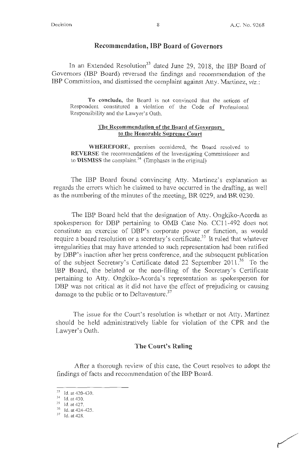### **Recommendation, IBP Board of Governors**

In an Extended Resolution<sup>33</sup> dated June 29, 2018, the IBP Board of Governors (IBP Board) reversed the findings and recommendation of the IBP Commission, and dismissed the complaint against Atty. Martinez, *viz.:* 

**To conclude,** the Board is not convinced that the actions of Respondent constituted a violation of the Code of Professional Responsibility and the Lawyer's Oath.

### **The Recommendation of the Board of Governors to the Honorable Supreme Court**

**WHEREFORE,** premises considered, the Board resolved to **REVERSE** the recommendations of the Investigating Commissioner and to **DISMISS** the complaint.<sup>34</sup> (Emphases in the original)

The IBP Board found convincing Atty. Martinez's explanation as regards the errors which he claimed to have occuned in the drafting, as well as the numbering of the minutes of the meeting, BR 0229, and BR 0230.

The IBP Board held that the designation of Atty. Ongkiko-Acorda as spokesperson for DBP pertaining to 0MB Case No. CCl 1-492 does not constitute an exercise of DBP's corporate power or function, as would require a board resolution or a secretary's certificate.<sup>35</sup> It ruled that whatever irregularities that may have attended to such representation had been ratified by DBP's inaction after her press conference, and the subsequent publication of the subject Secretary's Certificate dated 22 September 2011.<sup>36</sup> To the IBP Board, the belated or the non-filing of the Secretary's Certificate pertaining to Atty. Ongkiko-Acorda's representation as spokesperson for DBP was not critical as it did not have the effect of prejudicing or causing damage to the public or to Deltaventure.<sup>37</sup>

The issue for the Court's resolution is whether or not Atty. Martinez should be held administratively liable for violation of the CPR and the Lawyer's Oath.

### **The Court's Ruling**

After a thorough review of this case, the Court resolves to adopt the findings of facts and recommendation of the IBP Board.

<sup>&</sup>lt;sup>33</sup> Id. at 420-430.<br><sup>34</sup> Id. at 430.<br><sup>35</sup> Id. at 427.<br><sup>36</sup> Id. at 424-425.<br><sup>37</sup> Id. at 428.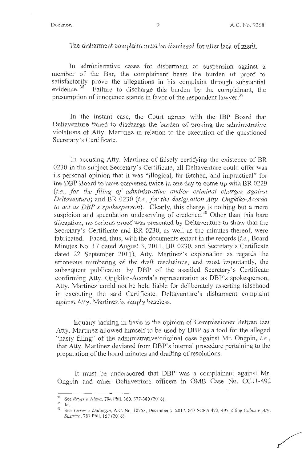The disbarment complaint must be dismissed for utter lack of merit.

In administrative cases for disbarment or suspension against a member of the Bar, the complainant bears the burden of proof to satisfactorily prove the allegations in his complaint through substantial evidence.<sup>38</sup> Failure to discharge this burden by the complainant, the presumption of innocence stands in favor of the respondent lawyer.<sup>39</sup>

In the instant case, the Court agrees with the IBP Board that Deltaventure failed to discharge the burden of proving the administrative violations of Atty. Martinez in relation to the execution of the questioned Secretary's Certificate.

In accusing Atty. Martinez of falsely certifying the existence of BR 0230 in the subject Secretary's Certificate, all Deltaventure could offer was its personal opinion that it was "illogical, far-fetched, and impractical" for the DBP Board to have convened twice in one day to come up with BR 0229 *(i.e. , for the .filing of administrative and/or criminal charges against Deltaventure)* and **BR** 0230 *(i.e., for the designation Atty. Ongkilco-Acorda to act as DBP* 's *spokesperson).* Clearly, this charge is nothing but a mere suspicion and speculation undeserving of credence.<sup>40</sup> Other than this bare allegation, no serious proof was presented by Deltaventure to show that the Secretary's Certificate and BR 0230, as well as the minutes thereof, were fabricated. Faced, thus, with the documents extant in the records *(i.e.,* Board Minutes No. 17 dated August 3, 2011, BR 0230, and Secretary's Certificate dated 22 September 2011), Atty. Martinez's explanation as regards the erroneous numbering of the draft resolutions, and most importantly, the subsequent publication by **DBP** of the assailed Secretary's Certificate confirming Atty. Ongkiko-Acorda's representation as DBP's spokesperson, Atty. Martinez could not be held liable for deliberately asserting falsehood in executing the said Certificate. Deltaventure's disbarment complaint against Atty. Martinez is simply baseless.

Equally lacking in basis is the opinion of Commissioner Beltran that Atty. Martinez allowed himself to be used by DBP as a tool for the alleged "hasty filing" of the administrative/criminal case against Mr. Ongpin, *i.e.*, that Atty. Martinez deviated from DBP's internal procedure pertaining to the preparation of the board minutes and drafting of resolutions.

It must be underscored that DBP was a complainant against Mr. Ongpin and other Deltaventure officers in 0MB Case No. CC 11-492

<sup>38</sup> See *Reyes v. Nieva,* 794 Phil. 360, 377-380 (2016).

<sup>&</sup>lt;sup>40</sup> See *Torres v. Dalangin*, A.C. No. 10758, December 5, 2017, 847 SCRA 472, 497, citing *Cabas v. Atty. Sususco,* 787 Phil. 167 (2016).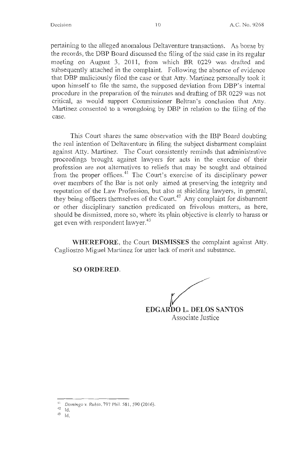pertaining to the alleged anomalous Deltaventure transactions. As borne by the records, the DBP Board discussed the filing of the said case in its regular meeting on August 3, 2011, from which BR 0229 was drafted and subsequently attached in the complaint. Following the absence of evidence that DBP maliciously filed the case or that Atty. Martinez personally took it upon himself to file the same, the supposed deviation from DBP's internal procedure in the preparation of the minutes and drafting of BR 0229 was not critical, as would support Commissioner Beltran's conclusion that Atty. Martinez consented to a wrongdoing by DBP in relation to the filing of the case.

This Court shares the same observation with the IBP Board doubting the real intention of Deltaventure in filing the subject disbarment complaint against Atty. Martinez. The Court consistently reminds that administrative proceedings brought against lawyers for acts in the exercise of their profession are not alternatives to reliefs that may be sought and obtained from the proper offices.<sup>41</sup> The Court's exercise of its disciplinary power over members of the Bar is not only aimed at preserving the integrity and reputation of the Law Profession, but also at shielding lawyers, in general, they being officers themselves of the Court.<sup>42</sup> Any complaint for disbarment or other disciplinary sanction predicated on frivolous matters, as here, should be dismissed, more so, where its plain objective is clearly to harass or get even with respondent lawyer.<sup>43</sup>

**WHEREFORE,** the Court **DISMISSES** the complaint against Atty. Cagliostro Miguel Martinez for utter lack of merit and substance.

**SO ORDERED.** 

**EDGARDO L. DELOS SANTOS** Associate Justice

- $^{42}$  Id.
- 43 Id.

<sup>41</sup>*Domingo v. Rubio,* 797 Phil. 581 , 590 (20 16).